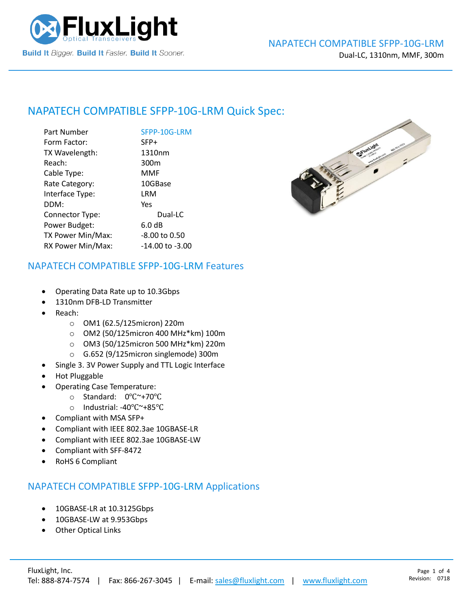

## NAPATECH COMPATIBLE [SFPP-10G-LRM](https://www.fluxlight.com/) Quick Spec:

| Part Number       | SFPP-10G-LRM        |
|-------------------|---------------------|
| Form Factor:      | SFP+                |
| TX Wavelength:    | 1310nm              |
| Reach:            | 300 <sub>m</sub>    |
| Cable Type:       | MMF                 |
| Rate Category:    | 10GBase             |
| Interface Type:   | LRM                 |
| DDM:              | Yes                 |
| Connector Type:   | Dual-LC             |
| Power Budget:     | 6.0 dB              |
| TX Power Min/Max: | -8.00 to 0.50       |
| RX Power Min/Max: | $-14.00$ to $-3.00$ |



#### NAPATECH COMPATIBLE [SFPP-10G-LRM](https://www.fluxlight.com/) Features

- Operating Data Rate up to 10.3Gbps
- 1310nm DFB-LD Transmitter
- Reach:
	- o OM1 (62.5/125micron) 220m
	- o OM2 (50/125micron 400 MHz\*km) 100m
	- o OM3 (50/125micron 500 MHz\*km) 220m
	- o G.652 (9/125micron singlemode) 300m
- Single 3. 3V Power Supply and TTL Logic Interface
- Hot Pluggable
- Operating Case Temperature:
	- o Standard: 0℃~+70℃
	- o Industrial: -40℃~+85℃
- Compliant with MSA SFP+
- Compliant with IEEE 802.3ae 10GBASE-LR
- Compliant with IEEE 802.3ae 10GBASE-LW
- Compliant with SFF-8472
- RoHS 6 Compliant

### NAPATECH COMPATIBLE [SFPP-10G-LRM](https://www.fluxlight.com/) Applications

- 10GBASE-LR at 10.3125Gbps
- 10GBASE-LW at 9.953Gbps
- **Other Optical Links**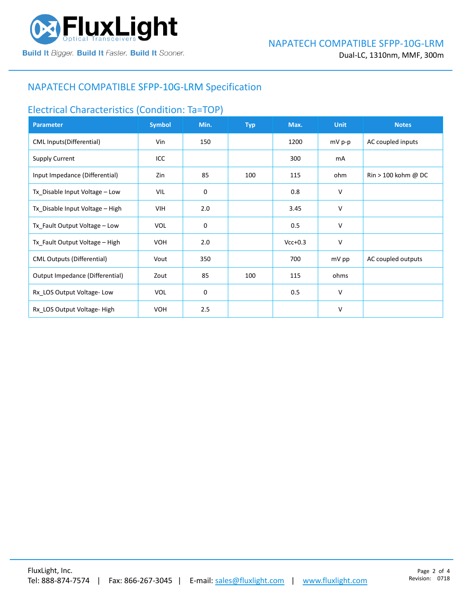

### NAPATECH COMPATIBLE [SFPP-10G-LRM](https://www.fluxlight.com/) Specification

# Electrical Characteristics (Condition: Ta=TOP)

| <b>Parameter</b>                  | <b>Symbol</b> | Min.        | <b>Typ</b> | Max.      | <b>Unit</b> | <b>Notes</b>                   |
|-----------------------------------|---------------|-------------|------------|-----------|-------------|--------------------------------|
| CML Inputs(Differential)          | Vin           | 150         |            | 1200      | mV p-p      | AC coupled inputs              |
| <b>Supply Current</b>             | ICC           |             |            | 300       | mA          |                                |
| Input Impedance (Differential)    | Zin           | 85          | 100        | 115       | ohm         | $\mathrm{Rin}$ > 100 kohm @ DC |
| Tx_Disable Input Voltage - Low    | VIL           | $\mathbf 0$ |            | 0.8       | v           |                                |
| Tx Disable Input Voltage - High   | <b>VIH</b>    | 2.0         |            | 3.45      | v           |                                |
| Tx_Fault Output Voltage - Low     | <b>VOL</b>    | 0           |            | 0.5       | v           |                                |
| Tx_Fault Output Voltage - High    | <b>VOH</b>    | 2.0         |            | $Vcc+0.3$ | ٧           |                                |
| <b>CML Outputs (Differential)</b> | Vout          | 350         |            | 700       | mV pp       | AC coupled outputs             |
| Output Impedance (Differential)   | Zout          | 85          | 100        | 115       | ohms        |                                |
| Rx_LOS Output Voltage-Low         | <b>VOL</b>    | 0           |            | 0.5       | ٧           |                                |
| Rx LOS Output Voltage-High        | <b>VOH</b>    | 2.5         |            |           | v           |                                |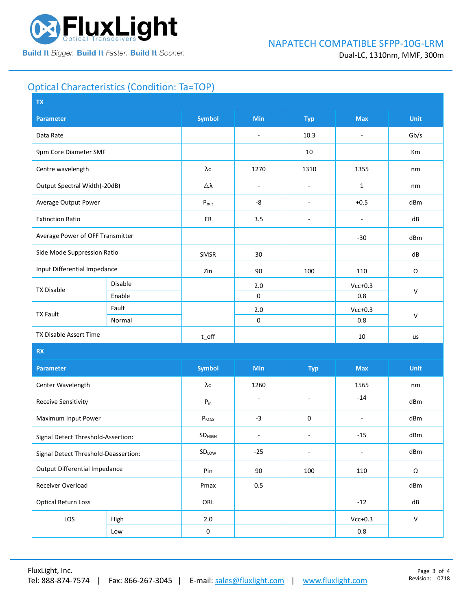

## Optical Characteristics (Condition: Ta=TOP)

| <b>Symbol</b><br>Min<br><b>Unit</b><br>Parameter<br><b>Typ</b><br><b>Max</b><br>10.3<br>Gb/s<br>Data Rate<br>$\overline{\phantom{a}}$<br>÷,<br>9µm Core Diameter SMF<br>10<br>Km<br>λс<br>1270<br>1355<br>Centre wavelength<br>1310<br>nm<br>Output Spectral Width(-20dB)<br>Δλ<br>$\mathbf{1}$<br>$\overline{\phantom{a}}$<br>nm<br>$\overline{\phantom{a}}$<br>Average Output Power<br>$+0.5$<br>$\mathsf{P}_{\mathsf{out}}$<br>-8<br>dBm<br>$\overline{\phantom{a}}$<br><b>Extinction Ratio</b><br>3.5<br>dB<br>ER<br>$\sim$<br>$\overline{a}$<br>Average Power of OFF Transmitter<br>$-30$<br>dBm<br>Side Mode Suppression Ratio<br>SMSR<br>30<br>dB<br>Input Differential Impedance<br>90<br>Zin<br>100<br>110<br>Ω<br>Disable<br>2.0<br>$Vcc+0.3$<br><b>TX Disable</b><br>$\mathsf{V}$<br>$\mathbf 0$<br>Enable<br>0.8<br>Fault<br>$2.0$<br>$Vcc+0.3$<br><b>TX Fault</b><br>$\mathsf{V}$<br>$\pmb{0}$<br>0.8<br>Normal<br>TX Disable Assert Time<br>$t$ off<br>$10\,$<br>us<br>RX<br><b>Symbol</b><br><b>Min</b><br><b>Max</b><br><b>Unit</b><br><b>Parameter</b><br><b>Typ</b><br>Center Wavelength<br>λс<br>1260<br>1565<br>nm<br>$-14$<br>ä,<br>$\blacksquare$<br><b>Receive Sensitivity</b><br>${\sf P}_{\sf in}$<br>dBm<br>Maximum Input Power<br>$P_{MAX}$<br>$-3$<br>0<br>dBm<br>$\overline{a}$<br>$-15$<br>dBm<br>SD <sub>HIGH</sub><br>$\blacksquare$<br>٠<br>Signal Detect Threshold-Assertion:<br>$-25$<br>dBm<br>SDLOW<br>$\blacksquare$<br>$\overline{\phantom{a}}$<br>Signal Detect Threshold-Deassertion:<br><b>Output Differential Impedance</b><br>Pin<br>90<br>100<br>110<br>$\Omega$<br>Receiver Overload<br>Pmax<br>0.5<br>dBm<br><b>Optical Return Loss</b><br>ORL<br>$-12$<br>dB<br>LOS<br>$2.0\,$<br>$Vcc+0.3$<br>${\sf V}$<br>High<br>$\mathbf 0$<br>$0.8\,$<br>Low | <b>TX</b> |  |  |  |  |  |  |  |
|---------------------------------------------------------------------------------------------------------------------------------------------------------------------------------------------------------------------------------------------------------------------------------------------------------------------------------------------------------------------------------------------------------------------------------------------------------------------------------------------------------------------------------------------------------------------------------------------------------------------------------------------------------------------------------------------------------------------------------------------------------------------------------------------------------------------------------------------------------------------------------------------------------------------------------------------------------------------------------------------------------------------------------------------------------------------------------------------------------------------------------------------------------------------------------------------------------------------------------------------------------------------------------------------------------------------------------------------------------------------------------------------------------------------------------------------------------------------------------------------------------------------------------------------------------------------------------------------------------------------------------------------------------------------------------------------------------------------------------------------------------------------------------------------------|-----------|--|--|--|--|--|--|--|
|                                                                                                                                                                                                                                                                                                                                                                                                                                                                                                                                                                                                                                                                                                                                                                                                                                                                                                                                                                                                                                                                                                                                                                                                                                                                                                                                                                                                                                                                                                                                                                                                                                                                                                                                                                                                   |           |  |  |  |  |  |  |  |
|                                                                                                                                                                                                                                                                                                                                                                                                                                                                                                                                                                                                                                                                                                                                                                                                                                                                                                                                                                                                                                                                                                                                                                                                                                                                                                                                                                                                                                                                                                                                                                                                                                                                                                                                                                                                   |           |  |  |  |  |  |  |  |
|                                                                                                                                                                                                                                                                                                                                                                                                                                                                                                                                                                                                                                                                                                                                                                                                                                                                                                                                                                                                                                                                                                                                                                                                                                                                                                                                                                                                                                                                                                                                                                                                                                                                                                                                                                                                   |           |  |  |  |  |  |  |  |
|                                                                                                                                                                                                                                                                                                                                                                                                                                                                                                                                                                                                                                                                                                                                                                                                                                                                                                                                                                                                                                                                                                                                                                                                                                                                                                                                                                                                                                                                                                                                                                                                                                                                                                                                                                                                   |           |  |  |  |  |  |  |  |
|                                                                                                                                                                                                                                                                                                                                                                                                                                                                                                                                                                                                                                                                                                                                                                                                                                                                                                                                                                                                                                                                                                                                                                                                                                                                                                                                                                                                                                                                                                                                                                                                                                                                                                                                                                                                   |           |  |  |  |  |  |  |  |
|                                                                                                                                                                                                                                                                                                                                                                                                                                                                                                                                                                                                                                                                                                                                                                                                                                                                                                                                                                                                                                                                                                                                                                                                                                                                                                                                                                                                                                                                                                                                                                                                                                                                                                                                                                                                   |           |  |  |  |  |  |  |  |
|                                                                                                                                                                                                                                                                                                                                                                                                                                                                                                                                                                                                                                                                                                                                                                                                                                                                                                                                                                                                                                                                                                                                                                                                                                                                                                                                                                                                                                                                                                                                                                                                                                                                                                                                                                                                   |           |  |  |  |  |  |  |  |
|                                                                                                                                                                                                                                                                                                                                                                                                                                                                                                                                                                                                                                                                                                                                                                                                                                                                                                                                                                                                                                                                                                                                                                                                                                                                                                                                                                                                                                                                                                                                                                                                                                                                                                                                                                                                   |           |  |  |  |  |  |  |  |
|                                                                                                                                                                                                                                                                                                                                                                                                                                                                                                                                                                                                                                                                                                                                                                                                                                                                                                                                                                                                                                                                                                                                                                                                                                                                                                                                                                                                                                                                                                                                                                                                                                                                                                                                                                                                   |           |  |  |  |  |  |  |  |
|                                                                                                                                                                                                                                                                                                                                                                                                                                                                                                                                                                                                                                                                                                                                                                                                                                                                                                                                                                                                                                                                                                                                                                                                                                                                                                                                                                                                                                                                                                                                                                                                                                                                                                                                                                                                   |           |  |  |  |  |  |  |  |
|                                                                                                                                                                                                                                                                                                                                                                                                                                                                                                                                                                                                                                                                                                                                                                                                                                                                                                                                                                                                                                                                                                                                                                                                                                                                                                                                                                                                                                                                                                                                                                                                                                                                                                                                                                                                   |           |  |  |  |  |  |  |  |
|                                                                                                                                                                                                                                                                                                                                                                                                                                                                                                                                                                                                                                                                                                                                                                                                                                                                                                                                                                                                                                                                                                                                                                                                                                                                                                                                                                                                                                                                                                                                                                                                                                                                                                                                                                                                   |           |  |  |  |  |  |  |  |
|                                                                                                                                                                                                                                                                                                                                                                                                                                                                                                                                                                                                                                                                                                                                                                                                                                                                                                                                                                                                                                                                                                                                                                                                                                                                                                                                                                                                                                                                                                                                                                                                                                                                                                                                                                                                   |           |  |  |  |  |  |  |  |
|                                                                                                                                                                                                                                                                                                                                                                                                                                                                                                                                                                                                                                                                                                                                                                                                                                                                                                                                                                                                                                                                                                                                                                                                                                                                                                                                                                                                                                                                                                                                                                                                                                                                                                                                                                                                   |           |  |  |  |  |  |  |  |
|                                                                                                                                                                                                                                                                                                                                                                                                                                                                                                                                                                                                                                                                                                                                                                                                                                                                                                                                                                                                                                                                                                                                                                                                                                                                                                                                                                                                                                                                                                                                                                                                                                                                                                                                                                                                   |           |  |  |  |  |  |  |  |
|                                                                                                                                                                                                                                                                                                                                                                                                                                                                                                                                                                                                                                                                                                                                                                                                                                                                                                                                                                                                                                                                                                                                                                                                                                                                                                                                                                                                                                                                                                                                                                                                                                                                                                                                                                                                   |           |  |  |  |  |  |  |  |
|                                                                                                                                                                                                                                                                                                                                                                                                                                                                                                                                                                                                                                                                                                                                                                                                                                                                                                                                                                                                                                                                                                                                                                                                                                                                                                                                                                                                                                                                                                                                                                                                                                                                                                                                                                                                   |           |  |  |  |  |  |  |  |
|                                                                                                                                                                                                                                                                                                                                                                                                                                                                                                                                                                                                                                                                                                                                                                                                                                                                                                                                                                                                                                                                                                                                                                                                                                                                                                                                                                                                                                                                                                                                                                                                                                                                                                                                                                                                   |           |  |  |  |  |  |  |  |
|                                                                                                                                                                                                                                                                                                                                                                                                                                                                                                                                                                                                                                                                                                                                                                                                                                                                                                                                                                                                                                                                                                                                                                                                                                                                                                                                                                                                                                                                                                                                                                                                                                                                                                                                                                                                   |           |  |  |  |  |  |  |  |
|                                                                                                                                                                                                                                                                                                                                                                                                                                                                                                                                                                                                                                                                                                                                                                                                                                                                                                                                                                                                                                                                                                                                                                                                                                                                                                                                                                                                                                                                                                                                                                                                                                                                                                                                                                                                   |           |  |  |  |  |  |  |  |
|                                                                                                                                                                                                                                                                                                                                                                                                                                                                                                                                                                                                                                                                                                                                                                                                                                                                                                                                                                                                                                                                                                                                                                                                                                                                                                                                                                                                                                                                                                                                                                                                                                                                                                                                                                                                   |           |  |  |  |  |  |  |  |
|                                                                                                                                                                                                                                                                                                                                                                                                                                                                                                                                                                                                                                                                                                                                                                                                                                                                                                                                                                                                                                                                                                                                                                                                                                                                                                                                                                                                                                                                                                                                                                                                                                                                                                                                                                                                   |           |  |  |  |  |  |  |  |
|                                                                                                                                                                                                                                                                                                                                                                                                                                                                                                                                                                                                                                                                                                                                                                                                                                                                                                                                                                                                                                                                                                                                                                                                                                                                                                                                                                                                                                                                                                                                                                                                                                                                                                                                                                                                   |           |  |  |  |  |  |  |  |
|                                                                                                                                                                                                                                                                                                                                                                                                                                                                                                                                                                                                                                                                                                                                                                                                                                                                                                                                                                                                                                                                                                                                                                                                                                                                                                                                                                                                                                                                                                                                                                                                                                                                                                                                                                                                   |           |  |  |  |  |  |  |  |
|                                                                                                                                                                                                                                                                                                                                                                                                                                                                                                                                                                                                                                                                                                                                                                                                                                                                                                                                                                                                                                                                                                                                                                                                                                                                                                                                                                                                                                                                                                                                                                                                                                                                                                                                                                                                   |           |  |  |  |  |  |  |  |
|                                                                                                                                                                                                                                                                                                                                                                                                                                                                                                                                                                                                                                                                                                                                                                                                                                                                                                                                                                                                                                                                                                                                                                                                                                                                                                                                                                                                                                                                                                                                                                                                                                                                                                                                                                                                   |           |  |  |  |  |  |  |  |
|                                                                                                                                                                                                                                                                                                                                                                                                                                                                                                                                                                                                                                                                                                                                                                                                                                                                                                                                                                                                                                                                                                                                                                                                                                                                                                                                                                                                                                                                                                                                                                                                                                                                                                                                                                                                   |           |  |  |  |  |  |  |  |